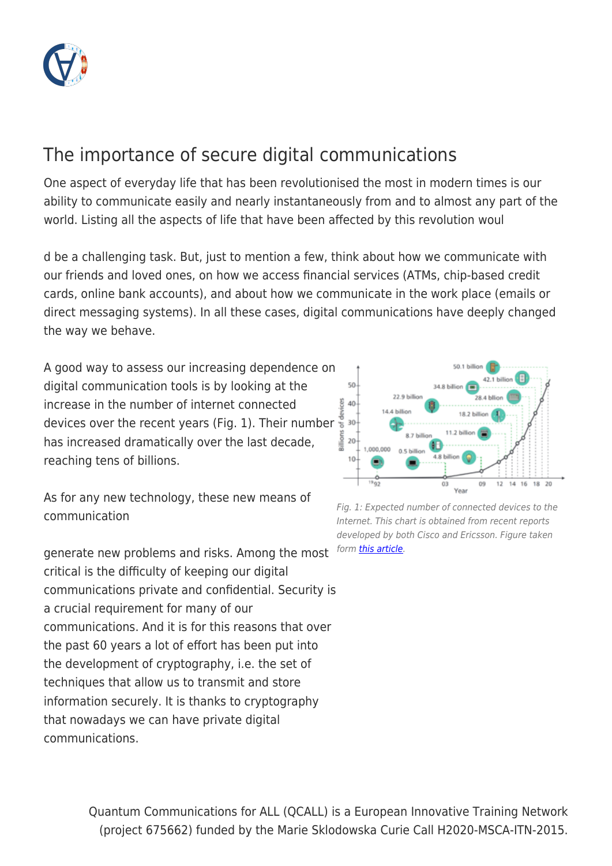

# The importance of secure digital communications

One aspect of everyday life that has been revolutionised the most in modern times is our ability to communicate easily and nearly instantaneously from and to almost any part of the world. Listing all the aspects of life that have been affected by this revolution woul

d be a challenging task. But, just to mention a few, think about how we communicate with our friends and loved ones, on how we access financial services (ATMs, chip-based credit cards, online bank accounts), and about how we communicate in the work place (emails or direct messaging systems). In all these cases, digital communications have deeply changed the way we behave.

A good way to assess our increasing dependence on digital communication tools is by looking at the increase in the number of internet connected devices over the recent years (Fig. 1). Their number has increased dramatically over the last decade, reaching tens of billions.

As for any new technology, these new means of communication

generate new problems and risks. Among the most critical is the difficulty of keeping our digital communications private and confidential. Security is a crucial requirement for many of our communications. And it is for this reasons that over the past 60 years a lot of effort has been put into the development of cryptography, i.e. the set of techniques that allow us to transmit and store information securely. It is thanks to cryptography that nowadays we can have private digital communications.



Fig. 1: Expected number of connected devices to the Internet. This chart is obtained from recent reports developed by both Cisco and Ericsson. Figure taken form [this article](https://doi.org/10.1109/MCOM.2015.7263368).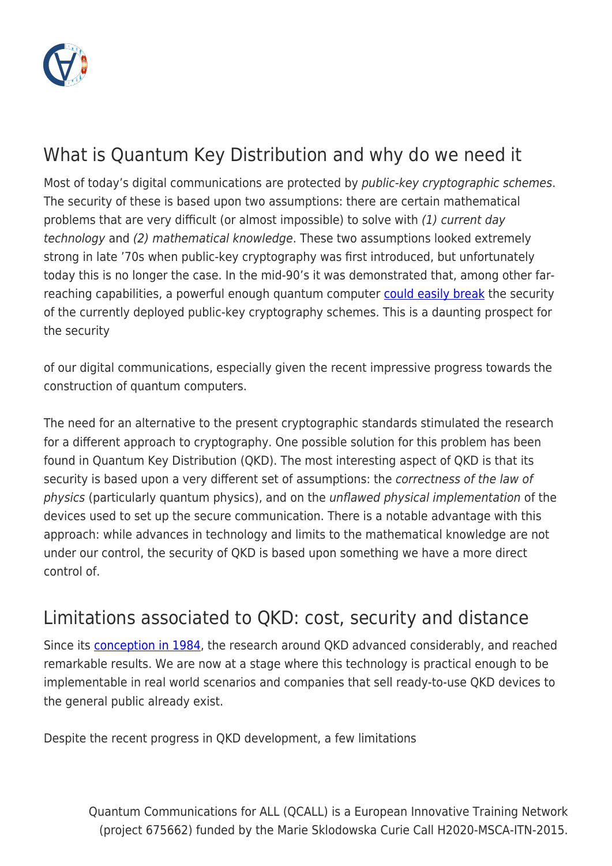

# What is Quantum Key Distribution and why do we need it

Most of today's digital communications are protected by public-key cryptographic schemes. The security of these is based upon two assumptions: there are certain mathematical problems that are very difficult (or almost impossible) to solve with (1) current day technology and (2) mathematical knowledge. These two assumptions looked extremely strong in late '70s when public-key cryptography was first introduced, but unfortunately today this is no longer the case. In the mid-90's it was demonstrated that, among other farreaching capabilities, a powerful enough quantum computer [could easily break](https://doi.org/10.1109%2Fsfcs.1994.365700) the security of the currently deployed public-key cryptography schemes. This is a daunting prospect for the security

of our digital communications, especially given the recent impressive progress towards the construction of quantum computers.

The need for an alternative to the present cryptographic standards stimulated the research for a different approach to cryptography. One possible solution for this problem has been found in Quantum Key Distribution (QKD). The most interesting aspect of QKD is that its security is based upon a very different set of assumptions: the correctness of the law of physics (particularly quantum physics), and on the unflawed physical implementation of the devices used to set up the secure communication. There is a notable advantage with this approach: while advances in technology and limits to the mathematical knowledge are not under our control, the security of QKD is based upon something we have a more direct control of.

# Limitations associated to QKD: cost, security and distance

Since its **[conception in 1984](https://doi.org/10.1016/j.tcs.2014.05.025)**, the research around QKD advanced considerably, and reached remarkable results. We are now at a stage where this technology is practical enough to be implementable in real world scenarios and companies that sell ready-to-use QKD devices to the general public already exist.

Despite the recent progress in QKD development, a few limitations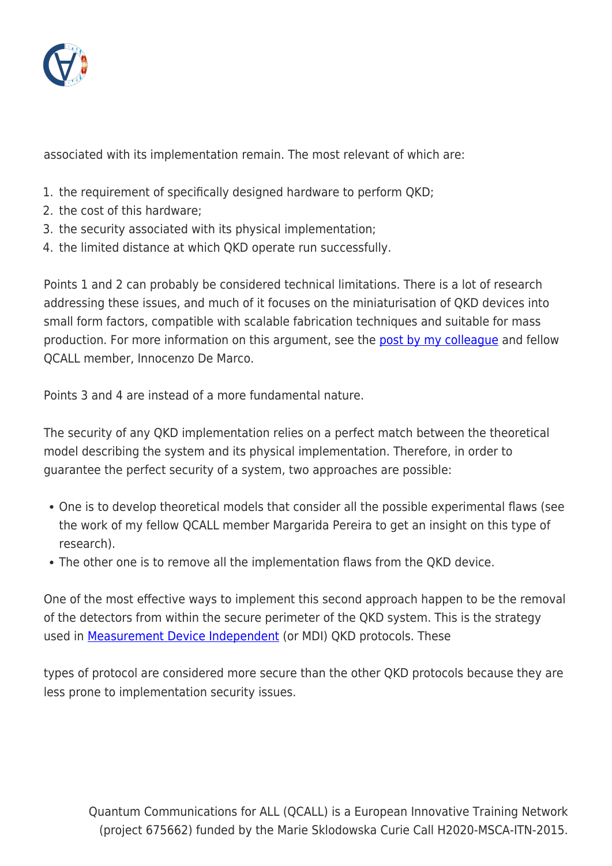

associated with its implementation remain. The most relevant of which are:

- 1. the requirement of specifically designed hardware to perform QKD;
- 2. the cost of this hardware;
- 3. the security associated with its physical implementation;
- 4. the limited distance at which QKD operate run successfully.

Points 1 and 2 can probably be considered technical limitations. There is a lot of research addressing these issues, and much of it focuses on the miniaturisation of QKD devices into small form factors, compatible with scalable fabrication techniques and suitable for mass production. For more information on this argument, see the [post by my colleague](http://www.qcall-itn.eu/2019/09/03/chip-based-technologies-for-quantum-communications/) and fellow QCALL member, Innocenzo De Marco.

Points 3 and 4 are instead of a more fundamental nature.

The security of any QKD implementation relies on a perfect match between the theoretical model describing the system and its physical implementation. Therefore, in order to guarantee the perfect security of a system, two approaches are possible:

- One is to develop theoretical models that consider all the possible experimental flaws (see the work of my fellow QCALL member Margarida Pereira to get an insight on this type of research).
- The other one is to remove all the implementation flaws from the QKD device.

One of the most effective ways to implement this second approach happen to be the removal of the detectors from within the secure perimeter of the QKD system. This is the strategy used in **Measurement Device Independent** (or MDI) QKD protocols. These

types of protocol are considered more secure than the other QKD protocols because they are less prone to implementation security issues.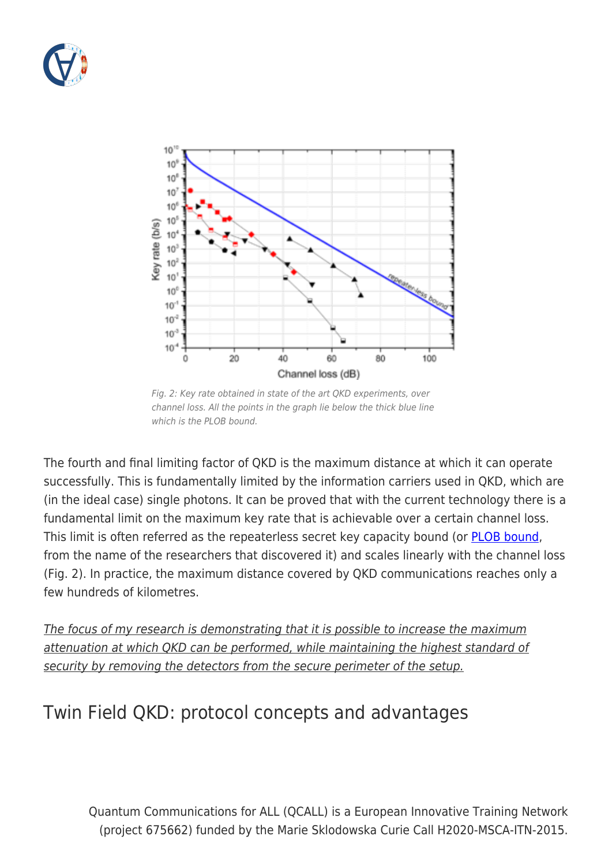



Fig. 2: Key rate obtained in state of the art QKD experiments, over channel loss. All the points in the graph lie below the thick blue line which is the PLOB bound.

The fourth and final limiting factor of QKD is the maximum distance at which it can operate successfully. This is fundamentally limited by the information carriers used in QKD, which are (in the ideal case) single photons. It can be proved that with the current technology there is a fundamental limit on the maximum key rate that is achievable over a certain channel loss. This limit is often referred as the repeaterless secret key capacity bound (or **[PLOB bound](https://doi.org/10.1038/ncomms15043)**, from the name of the researchers that discovered it) and scales linearly with the channel loss (Fig. 2). In practice, the maximum distance covered by QKD communications reaches only a few hundreds of kilometres.

The focus of my research is demonstrating that it is possible to increase the maximum attenuation at which QKD can be performed, while maintaining the highest standard of security by removing the detectors from the secure perimeter of the setup.

# Twin Field QKD: protocol concepts and advantages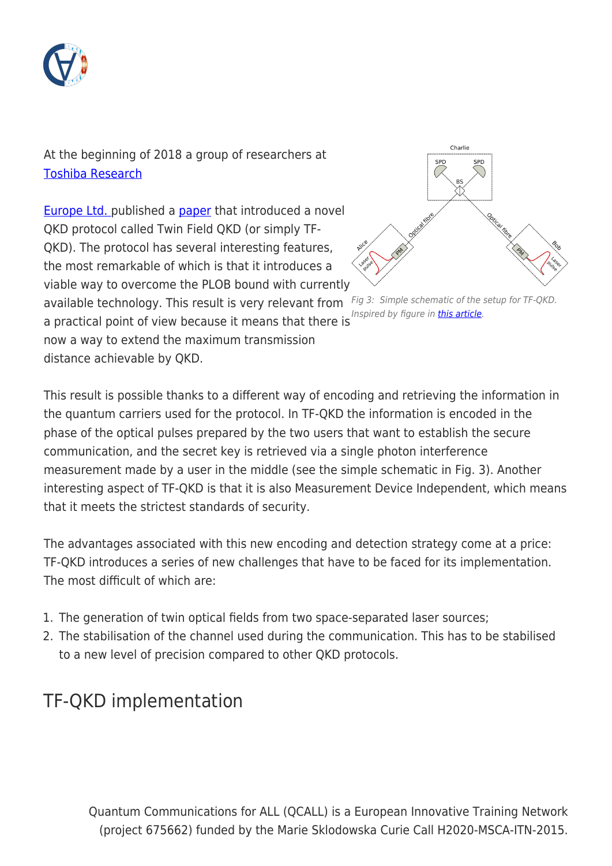

At the beginning of 2018 a group of researchers at [Toshiba Research](https://www.toshiba.eu/eu/Cambridge-Research-Laboratory/Quantum-Information/)

[Europe Ltd.](https://www.toshiba.eu/eu/Cambridge-Research-Laboratory/Quantum-Information/) published a [paper](https://doi.org/10.1038/s41586-018-0066-6) that introduced a novel QKD protocol called Twin Field QKD (or simply TF-QKD). The protocol has several interesting features, the most remarkable of which is that it introduces a viable way to overcome the PLOB bound with currently

available technology. This result is very relevant from Fig 3: Simple schematic of the setup for TF-QKD.

a practical point of view because it means that there is now a way to extend the maximum transmission distance achievable by QKD.



Inspired by figure in [this article.](https://www.nature.com/articles/s41566-019-0424-4)

This result is possible thanks to a different way of encoding and retrieving the information in the quantum carriers used for the protocol. In TF-QKD the information is encoded in the phase of the optical pulses prepared by the two users that want to establish the secure communication, and the secret key is retrieved via a single photon interference measurement made by a user in the middle (see the simple schematic in Fig. 3). Another interesting aspect of TF-QKD is that it is also Measurement Device Independent, which means that it meets the strictest standards of security.

The advantages associated with this new encoding and detection strategy come at a price: TF-QKD introduces a series of new challenges that have to be faced for its implementation. The most difficult of which are:

- 1. The generation of twin optical fields from two space-separated laser sources;
- 2. The stabilisation of the channel used during the communication. This has to be stabilised to a new level of precision compared to other QKD protocols.

# TF-QKD implementation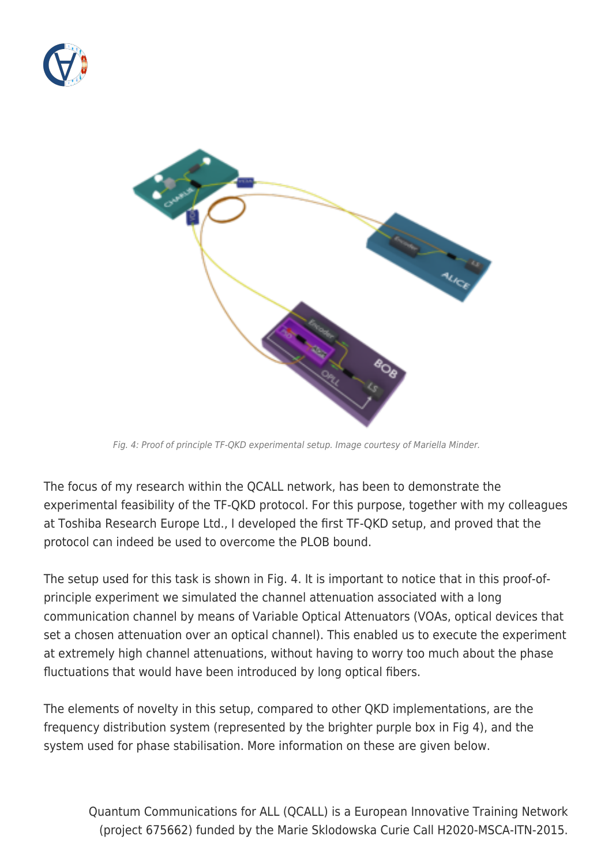



Fig. 4: Proof of principle TF-QKD experimental setup. Image courtesy of Mariella Minder.

The focus of my research within the QCALL network, has been to demonstrate the experimental feasibility of the TF-QKD protocol. For this purpose, together with my colleagues at Toshiba Research Europe Ltd., I developed the first TF-QKD setup, and proved that the protocol can indeed be used to overcome the PLOB bound.

The setup used for this task is shown in Fig. 4. It is important to notice that in this proof-ofprinciple experiment we simulated the channel attenuation associated with a long communication channel by means of Variable Optical Attenuators (VOAs, optical devices that set a chosen attenuation over an optical channel). This enabled us to execute the experiment at extremely high channel attenuations, without having to worry too much about the phase fluctuations that would have been introduced by long optical fibers.

The elements of novelty in this setup, compared to other QKD implementations, are the frequency distribution system (represented by the brighter purple box in Fig 4), and the system used for phase stabilisation. More information on these are given below.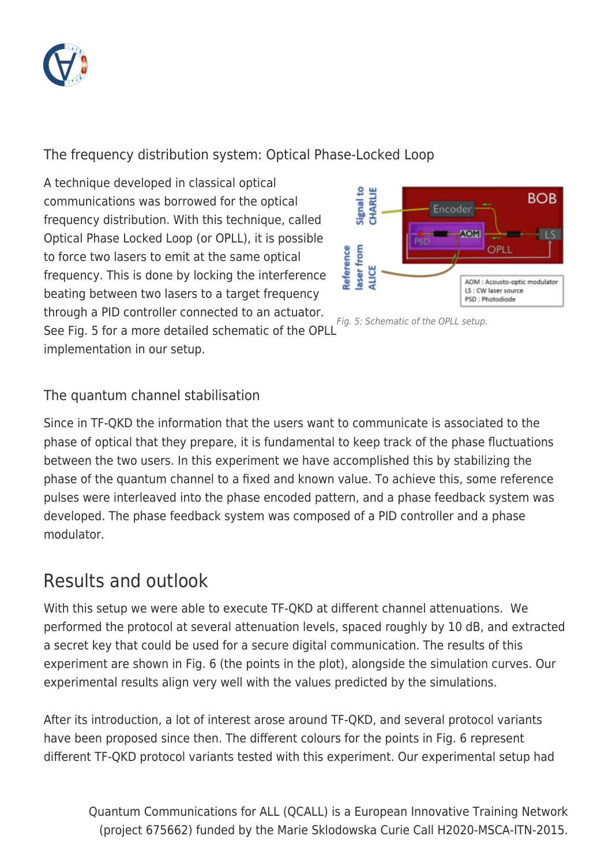

#### The frequency distribution system: Optical Phase-Locked Loop

A technique developed in classical optical communications was borrowed for the optical frequency distribution. With this technique, called Optical Phase Locked Loop (or OPLL), it is possible to force two lasers to emit at the same optical frequency. This is done by locking the interference beating between two lasers to a target frequency through a PID controller connected to an actuator.

See Fig. 5 for a more detailed schematic of the OPLL implementation in our setup.



Fig. 5: Schematic of the OPLL setup.

#### The quantum channel stabilisation

Since in TF-QKD the information that the users want to communicate is associated to the phase of optical that they prepare, it is fundamental to keep track of the phase fluctuations between the two users. In this experiment we have accomplished this by stabilizing the phase of the quantum channel to a fixed and known value. To achieve this, some reference pulses were interleaved into the phase encoded pattern, and a phase feedback system was developed. The phase feedback system was composed of a PID controller and a phase modulator.

### Results and outlook

With this setup we were able to execute TF-QKD at different channel attenuations. We performed the protocol at several attenuation levels, spaced roughly by 10 dB, and extracted a secret key that could be used for a secure digital communication. The results of this experiment are shown in Fig. 6 (the points in the plot), alongside the simulation curves. Our experimental results align very well with the values predicted by the simulations.

After its introduction, a lot of interest arose around TF-QKD, and several protocol variants have been proposed since then. The different colours for the points in Fig. 6 represent different TF-QKD protocol variants tested with this experiment. Our experimental setup had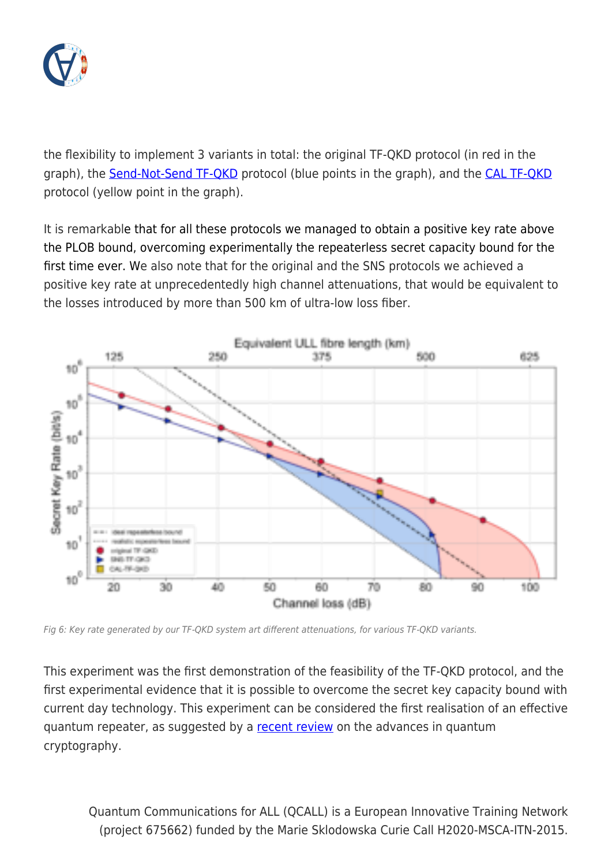

the flexibility to implement 3 variants in total: the original TF-QKD protocol (in red in the graph), the **Send-Not-Send TF-QKD** protocol (blue points in the graph), and the **CAL TF-QKD** protocol (yellow point in the graph).

It is remarkable that for all these protocols we managed to obtain a positive key rate above the PLOB bound, overcoming experimentally the repeaterless secret capacity bound for the first time ever. We also note that for the original and the SNS protocols we achieved a positive key rate at unprecedentedly high channel attenuations, that would be equivalent to the losses introduced by more than 500 km of ultra-low loss fiber.



Fig 6: Key rate generated by our TF-QKD system art different attenuations, for various TF-QKD variants.

This experiment was the first demonstration of the feasibility of the TF-QKD protocol, and the first experimental evidence that it is possible to overcome the secret key capacity bound with current day technology. This experiment can be considered the first realisation of an effective quantum repeater, as suggested by a [recent review](http://arxiv.org/pdf/1906.01645v1) on the advances in quantum cryptography.